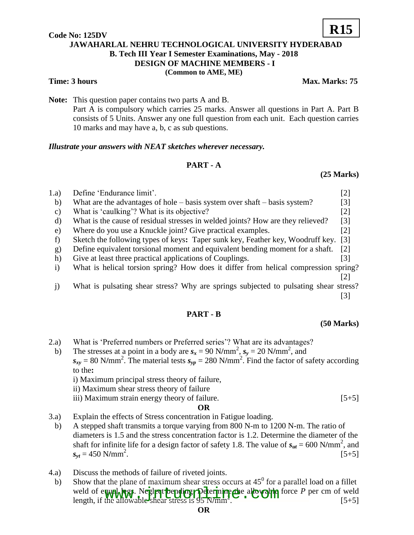## **Code No: 125DV JAWAHARLAL NEHRU TECHNOLOGICAL UNIVERSITY HYDERABAD B. Tech III Year I Semester Examinations, May - 2018 DESIGN OF MACHINE MEMBERS - I (Common to AME, ME) R15**

**Time: 3 hours** Max. Marks: 75

**Note:** This question paper contains two parts A and B. Part A is compulsory which carries 25 marks. Answer all questions in Part A. Part B consists of 5 Units. Answer any one full question from each unit. Each question carries 10 marks and may have a, b, c as sub questions.

### *Illustrate your answers with NEAT sketches wherever necessary.*

# **PART - A**

## **(25 Marks)**

| 1.a)         | Define 'Endurance limit'.                                                           |                   |
|--------------|-------------------------------------------------------------------------------------|-------------------|
| b)           | What are the advantages of hole $-$ basis system over shaft $-$ basis system?       | [3]               |
| C)           | What is 'caulking'? What is its objective?                                          | $[2]$             |
| d)           | What is the cause of residual stresses in welded joints? How are they relieved?     | $\lceil 3 \rceil$ |
| e)           | Where do you use a Knuckle joint? Give practical examples.                          | [2]               |
|              | Sketch the following types of keys: Taper sunk key, Feather key, Woodruff key.      | $\lceil 3 \rceil$ |
| g)           | Define equivalent torsional moment and equivalent bending moment for a shaft.       | $\lceil 2 \rceil$ |
| h)           | Give at least three practical applications of Couplings.                            | [3]               |
| $\mathbf{i}$ | What is helical torsion spring? How does it differ from helical compression spring? |                   |
|              |                                                                                     |                   |
|              |                                                                                     |                   |

 j) What is pulsating shear stress? Why are springs subjected to pulsating shear stress? [3]

## **PART - B**

### **(50 Marks)**

- 2.a) What is 'Preferred numbers or Preferred series'? What are its advantages?
- b) The stresses at a point in a body are  $s_x = 90 \text{ N/mm}^2$ ,  $s_y = 20 \text{ N/mm}^2$ , and  $s_{xy}$  = 80 N/mm<sup>2</sup>. The material tests  $s_{yp}$  = 280 N/mm<sup>2</sup>. Find the factor of safety according to the**:**

i) Maximum principal stress theory of failure,

ii) Maximum shear stress theory of failure

iii) Maximum strain energy theory of failure. [5+5]

### **OR**

- 3.a) Explain the effects of Stress concentration in Fatigue loading.
- b) A stepped shaft transmits a torque varying from 800 N-m to 1200 N-m. The ratio of diameters is 1.5 and the stress concentration factor is 1.2. Determine the diameter of the shaft for infinite life for a design factor of safety 1.8. The value of  $s_{ut} = 600 \text{ N/mm}^2$ , and  $s_{yt} = 450$  N/mm<sup>2</sup> .  $[5+5]$
- 4.a) Discuss the methods of failure of riveted joints.
- b) Show that the plane of maximum shear stress occurs at  $45<sup>0</sup>$  for a parallel load on a fillet weld of equal legs. Neglest bending. Determine the allowable force *P* per cm of weld length, if the allowable shear stress is 95 N/mm<sup>2</sup> qual legs. Net legt bending poterthing the allowable force P per cm of weld<br>the allowable shear stress is 95 N/mm<sup>2</sup>.